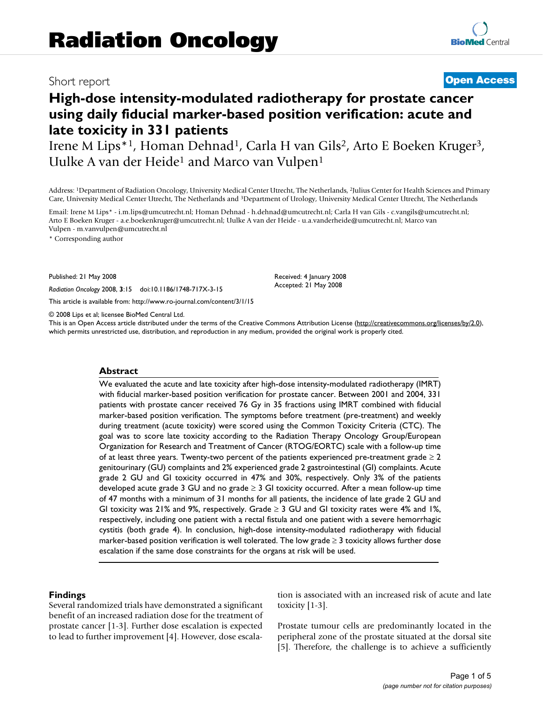## Short report **[Open Access](http://www.biomedcentral.com/info/about/charter/)**

# **High-dose intensity-modulated radiotherapy for prostate cancer using daily fiducial marker-based position verification: acute and late toxicity in 331 patients**

Irene M Lips\*1, Homan Dehnad1, Carla H van Gils2, Arto E Boeken Kruger3, Uulke A van der Heide<sup>1</sup> and Marco van Vulpen<sup>1</sup>

Address: 1Department of Radiation Oncology, University Medical Center Utrecht, The Netherlands, 2Julius Center for Health Sciences and Primary Care, University Medical Center Utrecht, The Netherlands and 3Department of Urology, University Medical Center Utrecht, The Netherlands

Email: Irene M Lips\* - i.m.lips@umcutrecht.nl; Homan Dehnad - h.dehnad@umcutrecht.nl; Carla H van Gils - c.vangils@umcutrecht.nl; Arto E Boeken Kruger - a.e.boekenkruger@umcutrecht.nl; Uulke A van der Heide - u.a.vanderheide@umcutrecht.nl; Marco van Vulpen - m.vanvulpen@umcutrecht.nl

\* Corresponding author

Published: 21 May 2008

*Radiation Oncology* 2008, **3**:15 doi:10.1186/1748-717X-3-15

[This article is available from: http://www.ro-journal.com/content/3/1/15](http://www.ro-journal.com/content/3/1/15)

© 2008 Lips et al; licensee BioMed Central Ltd.

This is an Open Access article distributed under the terms of the Creative Commons Attribution License [\(http://creativecommons.org/licenses/by/2.0\)](http://creativecommons.org/licenses/by/2.0), which permits unrestricted use, distribution, and reproduction in any medium, provided the original work is properly cited.

Received: 4 January 2008 Accepted: 21 May 2008

#### **Abstract**

We evaluated the acute and late toxicity after high-dose intensity-modulated radiotherapy (IMRT) with fiducial marker-based position verification for prostate cancer. Between 2001 and 2004, 331 patients with prostate cancer received 76 Gy in 35 fractions using IMRT combined with fiducial marker-based position verification. The symptoms before treatment (pre-treatment) and weekly during treatment (acute toxicity) were scored using the Common Toxicity Criteria (CTC). The goal was to score late toxicity according to the Radiation Therapy Oncology Group/European Organization for Research and Treatment of Cancer (RTOG/EORTC) scale with a follow-up time of at least three years. Twenty-two percent of the patients experienced pre-treatment grade  $\geq 2$ genitourinary (GU) complaints and 2% experienced grade 2 gastrointestinal (GI) complaints. Acute grade 2 GU and GI toxicity occurred in 47% and 30%, respectively. Only 3% of the patients developed acute grade 3 GU and no grade  $\geq 3$  GI toxicity occurred. After a mean follow-up time of 47 months with a minimum of 31 months for all patients, the incidence of late grade 2 GU and GI toxicity was 21% and 9%, respectively. Grade  $\geq$  3 GU and GI toxicity rates were 4% and 1%, respectively, including one patient with a rectal fistula and one patient with a severe hemorrhagic cystitis (both grade 4). In conclusion, high-dose intensity-modulated radiotherapy with fiducial marker-based position verification is well tolerated. The low grade  $\geq 3$  toxicity allows further dose escalation if the same dose constraints for the organs at risk will be used.

#### **Findings**

Several randomized trials have demonstrated a significant benefit of an increased radiation dose for the treatment of prostate cancer [1-3]. Further dose escalation is expected to lead to further improvement [4]. However, dose escalation is associated with an increased risk of acute and late toxicity [1-3].

Prostate tumour cells are predominantly located in the peripheral zone of the prostate situated at the dorsal site [5]. Therefore, the challenge is to achieve a sufficiently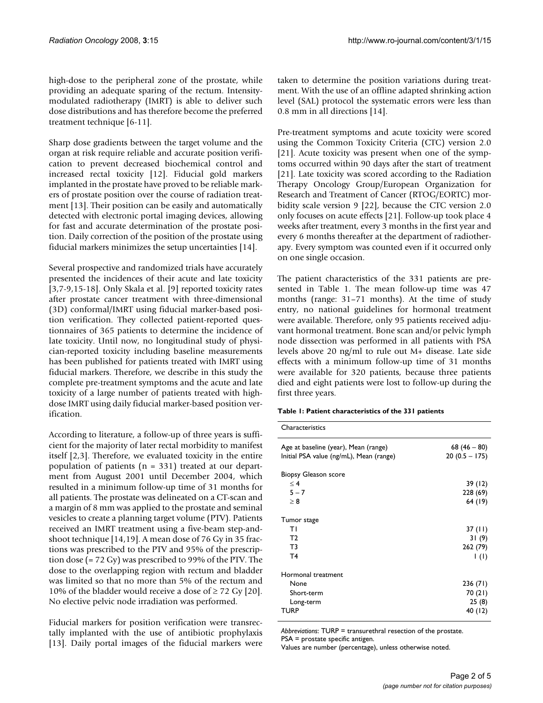high-dose to the peripheral zone of the prostate, while providing an adequate sparing of the rectum. Intensitymodulated radiotherapy (IMRT) is able to deliver such dose distributions and has therefore become the preferred treatment technique [6-11].

Sharp dose gradients between the target volume and the organ at risk require reliable and accurate position verification to prevent decreased biochemical control and increased rectal toxicity [12]. Fiducial gold markers implanted in the prostate have proved to be reliable markers of prostate position over the course of radiation treatment [13]. Their position can be easily and automatically detected with electronic portal imaging devices, allowing for fast and accurate determination of the prostate position. Daily correction of the position of the prostate using fiducial markers minimizes the setup uncertainties [14].

Several prospective and randomized trials have accurately presented the incidences of their acute and late toxicity [3,7-9,15-18]. Only Skala et al. [9] reported toxicity rates after prostate cancer treatment with three-dimensional (3D) conformal/IMRT using fiducial marker-based position verification. They collected patient-reported questionnaires of 365 patients to determine the incidence of late toxicity. Until now, no longitudinal study of physician-reported toxicity including baseline measurements has been published for patients treated with IMRT using fiducial markers. Therefore, we describe in this study the complete pre-treatment symptoms and the acute and late toxicity of a large number of patients treated with highdose IMRT using daily fiducial marker-based position verification.

According to literature, a follow-up of three years is sufficient for the majority of later rectal morbidity to manifest itself [2,3]. Therefore, we evaluated toxicity in the entire population of patients ( $n = 331$ ) treated at our department from August 2001 until December 2004, which resulted in a minimum follow-up time of 31 months for all patients. The prostate was delineated on a CT-scan and a margin of 8 mm was applied to the prostate and seminal vesicles to create a planning target volume (PTV). Patients received an IMRT treatment using a five-beam step-andshoot technique [14,19]. A mean dose of 76 Gy in 35 fractions was prescribed to the PTV and 95% of the prescription dose (= 72 Gy) was prescribed to 99% of the PTV. The dose to the overlapping region with rectum and bladder was limited so that no more than 5% of the rectum and 10% of the bladder would receive a dose of  $\geq$  72 Gy [20]. No elective pelvic node irradiation was performed.

Fiducial markers for position verification were transrectally implanted with the use of antibiotic prophylaxis [13]. Daily portal images of the fiducial markers were taken to determine the position variations during treatment. With the use of an offline adapted shrinking action level (SAL) protocol the systematic errors were less than 0.8 mm in all directions [14].

Pre-treatment symptoms and acute toxicity were scored using the Common Toxicity Criteria (CTC) version 2.0 [21]. Acute toxicity was present when one of the symptoms occurred within 90 days after the start of treatment [21]. Late toxicity was scored according to the Radiation Therapy Oncology Group/European Organization for Research and Treatment of Cancer (RTOG/EORTC) morbidity scale version 9 [22], because the CTC version 2.0 only focuses on acute effects [21]. Follow-up took place 4 weeks after treatment, every 3 months in the first year and every 6 months thereafter at the department of radiotherapy. Every symptom was counted even if it occurred only on one single occasion.

The patient characteristics of the 331 patients are presented in Table 1. The mean follow-up time was 47 months (range: 31–71 months). At the time of study entry, no national guidelines for hormonal treatment were available. Therefore, only 95 patients received adjuvant hormonal treatment. Bone scan and/or pelvic lymph node dissection was performed in all patients with PSA levels above 20 ng/ml to rule out M+ disease. Late side effects with a minimum follow-up time of 31 months were available for 320 patients, because three patients died and eight patients were lost to follow-up during the first three years.

|  |  | Table 1: Patient characteristics of the 331 patients |  |  |  |  |
|--|--|------------------------------------------------------|--|--|--|--|
|--|--|------------------------------------------------------|--|--|--|--|

| Characteristics                         |                 |
|-----------------------------------------|-----------------|
| Age at baseline (year), Mean (range)    | 68 $(46 - 80)$  |
| Initial PSA value (ng/mL), Mean (range) | $20(0.5 - 175)$ |
| <b>Biopsy Gleason score</b>             |                 |
| $\leq 4$                                | 39 (12)         |
| $5 - 7$                                 | 228 (69)        |
| > 8                                     | 64 (19)         |
| Tumor stage                             |                 |
| ΤI                                      | 37 (II)         |
| T <sub>2</sub>                          | 31(9)           |
| T3                                      | 262 (79)        |
| T4                                      | $\vert$ (l)     |
| Hormonal treatment                      |                 |
| None                                    | 236(71)         |
| Short-term                              | 70 (21)         |
| Long-term                               | 25(8)           |
| TURP                                    | 40 (12)         |
|                                         |                 |

*Abbreviations*: TURP = transurethral resection of the prostate. PSA = prostate specific antigen.

Values are number (percentage), unless otherwise noted.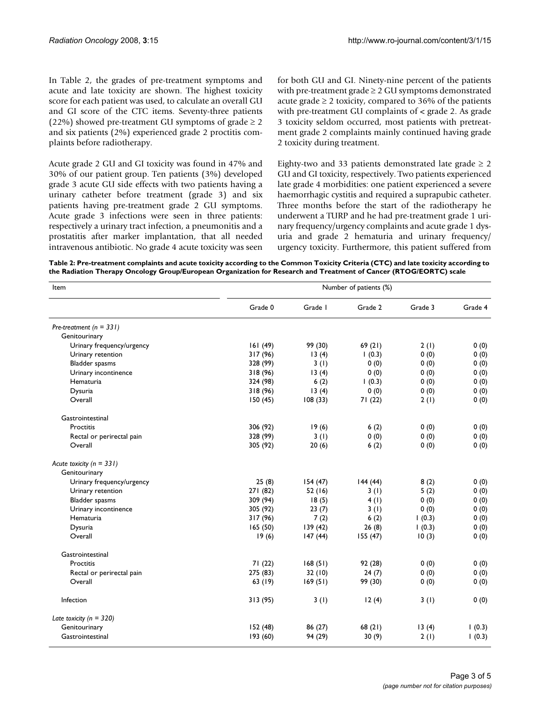In Table 2, the grades of pre-treatment symptoms and acute and late toxicity are shown. The highest toxicity score for each patient was used, to calculate an overall GU and GI score of the CTC items. Seventy-three patients (22%) showed pre-treatment GU symptoms of grade  $\geq 2$ and six patients (2%) experienced grade 2 proctitis complaints before radiotherapy.

Acute grade 2 GU and GI toxicity was found in 47% and 30% of our patient group. Ten patients (3%) developed grade 3 acute GU side effects with two patients having a urinary catheter before treatment (grade 3) and six patients having pre-treatment grade 2 GU symptoms. Acute grade 3 infections were seen in three patients: respectively a urinary tract infection, a pneumonitis and a prostatitis after marker implantation, that all needed intravenous antibiotic. No grade 4 acute toxicity was seen for both GU and GI. Ninety-nine percent of the patients with pre-treatment grade  $\geq 2$  GU symptoms demonstrated acute grade  $\geq 2$  toxicity, compared to 36% of the patients with pre-treatment GU complaints of < grade 2. As grade 3 toxicity seldom occurred, most patients with pretreatment grade 2 complaints mainly continued having grade 2 toxicity during treatment.

Eighty-two and 33 patients demonstrated late grade  $\geq 2$ GU and GI toxicity, respectively. Two patients experienced late grade 4 morbidities: one patient experienced a severe haemorrhagic cystitis and required a suprapubic catheter. Three months before the start of the radiotherapy he underwent a TURP and he had pre-treatment grade 1 urinary frequency/urgency complaints and acute grade 1 dysuria and grade 2 hematuria and urinary frequency/ urgency toxicity. Furthermore, this patient suffered from

**Table 2: Pre-treatment complaints and acute toxicity according to the Common Toxicity Criteria (CTC) and late toxicity according to the Radiation Therapy Oncology Group/European Organization for Research and Treatment of Cancer (RTOG/EORTC) scale**

| Item                         | Number of patients (%) |         |         |         |         |  |  |  |  |
|------------------------------|------------------------|---------|---------|---------|---------|--|--|--|--|
|                              | Grade 0                | Grade I | Grade 2 | Grade 3 | Grade 4 |  |  |  |  |
| Pre-treatment ( $n = 331$ )  |                        |         |         |         |         |  |  |  |  |
| Genitourinary                |                        |         |         |         |         |  |  |  |  |
| Urinary frequency/urgency    | 161(49)                | 99 (30) | 69(21)  | 2(1)    | 0(0)    |  |  |  |  |
| Urinary retention            | 317 (96)               | 13(4)   | 1(0.3)  | 0(0)    | 0(0)    |  |  |  |  |
| Bladder spasms               | 328 (99)               | 3(1)    | 0(0)    | 0(0)    | 0(0)    |  |  |  |  |
| Urinary incontinence         | 318 (96)               | 13(4)   | 0(0)    | 0(0)    | 0(0)    |  |  |  |  |
| Hematuria                    | 324 (98)               | 6(2)    | (0.3)   | 0(0)    | 0(0)    |  |  |  |  |
| Dysuria                      | 318 (96)               | 13(4)   | 0(0)    | 0(0)    | 0(0)    |  |  |  |  |
| Overall                      | 150(45)                | 108(33) | 71(22)  | 2(1)    | 0(0)    |  |  |  |  |
| Gastrointestinal             |                        |         |         |         |         |  |  |  |  |
| Proctitis                    | 306 (92)               | 19(6)   | 6(2)    | 0(0)    | 0(0)    |  |  |  |  |
| Rectal or perirectal pain    | 328 (99)               | 3(1)    | 0(0)    | 0(0)    | 0(0)    |  |  |  |  |
| Overall                      | 305 (92)               | 20(6)   | 6(2)    | 0(0)    | 0(0)    |  |  |  |  |
| Acute toxicity ( $n = 331$ ) |                        |         |         |         |         |  |  |  |  |
| Genitourinary                |                        |         |         |         |         |  |  |  |  |
| Urinary frequency/urgency    | 25(8)                  | 154(47) | 144(44) | 8(2)    | 0(0)    |  |  |  |  |
| Urinary retention            | 271 (82)               | 52 (16) | 3(1)    | 5(2)    | 0(0)    |  |  |  |  |
| Bladder spasms               | 309 (94)               | 18(5)   | 4(1)    | 0(0)    | 0(0)    |  |  |  |  |
| Urinary incontinence         | 305 (92)               | 23(7)   | 3(1)    | 0(0)    | 0(0)    |  |  |  |  |
| Hematuria                    | 317 (96)               | 7(2)    | 6(2)    | (0.3)   | 0(0)    |  |  |  |  |
| Dysuria                      | 165(50)                | 139(42) | 26(8)   | (0.3)   | 0(0)    |  |  |  |  |
| Overall                      | 19(6)                  | 147(44) | 155(47) | 10(3)   | 0(0)    |  |  |  |  |
| Gastrointestinal             |                        |         |         |         |         |  |  |  |  |
| Proctitis                    | 71(22)                 | 168(51) | 92 (28) | 0(0)    | 0(0)    |  |  |  |  |
| Rectal or perirectal pain    | 275 (83)               | 32(10)  | 24(7)   | 0(0)    | 0(0)    |  |  |  |  |
| Overall                      | 63 (19)                | 169(51) | 99 (30) | 0(0)    | 0(0)    |  |  |  |  |
| Infection                    | 313(95)                | 3(1)    | 12(4)   | 3(1)    | 0(0)    |  |  |  |  |
| Late toxicity ( $n = 320$ )  |                        |         |         |         |         |  |  |  |  |
| Genitourinary                | 152(48)                | 86 (27) | 68(21)  | 13(4)   | (0.3)   |  |  |  |  |
| Gastrointestinal             | 193 (60)               | 94 (29) | 30(9)   | 2(1)    | 1(0.3)  |  |  |  |  |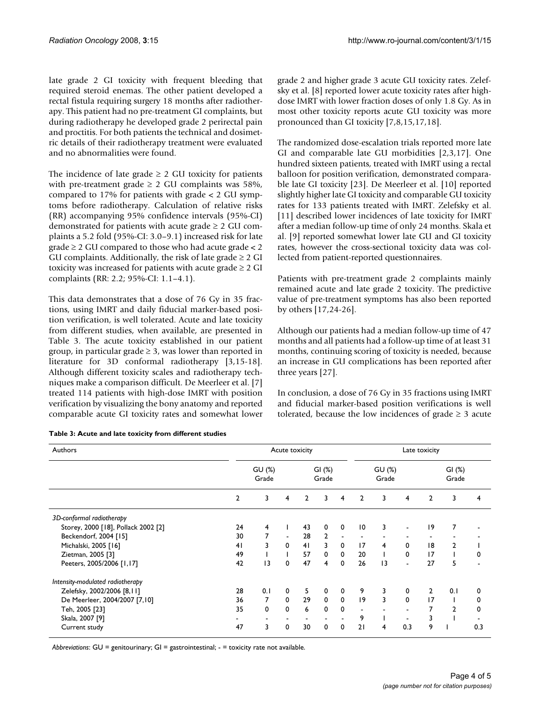late grade 2 GI toxicity with frequent bleeding that required steroid enemas. The other patient developed a rectal fistula requiring surgery 18 months after radiotherapy. This patient had no pre-treatment GI complaints, but during radiotherapy he developed grade 2 perirectal pain and proctitis. For both patients the technical and dosimetric details of their radiotherapy treatment were evaluated and no abnormalities were found.

The incidence of late grade  $\geq 2$  GU toxicity for patients with pre-treatment grade  $\geq 2$  GU complaints was 58%, compared to 17% for patients with grade < 2 GU symptoms before radiotherapy. Calculation of relative risks (RR) accompanying 95% confidence intervals (95%-CI) demonstrated for patients with acute grade  $\geq 2$  GU complaints a 5.2 fold (95%-CI: 3.0–9.1) increased risk for late  $grade \geq 2$  GU compared to those who had acute grade < 2 GU complaints. Additionally, the risk of late grade  $\geq 2$  GI toxicity was increased for patients with acute grade  $\geq 2$  GI complaints (RR: 2.2; 95%-CI: 1.1–4.1).

This data demonstrates that a dose of 76 Gy in 35 fractions, using IMRT and daily fiducial marker-based position verification, is well tolerated. Acute and late toxicity from different studies, when available, are presented in Table 3. The acute toxicity established in our patient group, in particular grade  $\geq$  3, was lower than reported in literature for 3D conformal radiotherapy [3,15-18]. Although different toxicity scales and radiotherapy techniques make a comparison difficult. De Meerleer et al. [7] treated 114 patients with high-dose IMRT with position verification by visualizing the bony anatomy and reported comparable acute GI toxicity rates and somewhat lower grade 2 and higher grade 3 acute GU toxicity rates. Zelefsky et al. [8] reported lower acute toxicity rates after highdose IMRT with lower fraction doses of only 1.8 Gy. As in most other toxicity reports acute GU toxicity was more pronounced than GI toxicity [7,8,15,17,18].

The randomized dose-escalation trials reported more late GI and comparable late GU morbidities [2,3,17]. One hundred sixteen patients, treated with IMRT using a rectal balloon for position verification, demonstrated comparable late GI toxicity [23]. De Meerleer et al. [10] reported slightly higher late GI toxicity and comparable GU toxicity rates for 133 patients treated with IMRT. Zelefsky et al. [11] described lower incidences of late toxicity for IMRT after a median follow-up time of only 24 months. Skala et al. [9] reported somewhat lower late GU and GI toxicity rates, however the cross-sectional toxicity data was collected from patient-reported questionnaires.

Patients with pre-treatment grade 2 complaints mainly remained acute and late grade 2 toxicity. The predictive value of pre-treatment symptoms has also been reported by others [17,24-26].

Although our patients had a median follow-up time of 47 months and all patients had a follow-up time of at least 31 months, continuing scoring of toxicity is needed, because an increase in GU complications has been reported after three years [27].

In conclusion, a dose of 76 Gy in 35 fractions using IMRT and fiducial marker-based position verifications is well tolerated, because the low incidences of grade  $\geq 3$  acute

| Authors                             | Acute toxicity  |                          |                   |                |                 |                | Late toxicity   |                         |                          |                          |                |     |  |
|-------------------------------------|-----------------|--------------------------|-------------------|----------------|-----------------|----------------|-----------------|-------------------------|--------------------------|--------------------------|----------------|-----|--|
|                                     | GU (%)<br>Grade |                          | GI $(%)$<br>Grade |                | GU (%)<br>Grade |                |                 | GI $(%)$<br>Grade       |                          |                          |                |     |  |
|                                     | $\overline{2}$  | 3                        | 4                 | $\overline{2}$ | 3               | 4              | $\overline{2}$  | 3                       | $\overline{4}$           | $\overline{2}$           | 3              | 4   |  |
| 3D-conformal radiotherapy           |                 |                          |                   |                |                 |                |                 |                         |                          |                          |                |     |  |
| Storey, 2000 [18], Pollack 2002 [2] | 24              | 4                        |                   | 43             | 0               | $\mathbf 0$    | $\overline{10}$ | 3                       | $\overline{\phantom{0}}$ | 19                       | 7              |     |  |
| Beckendorf, 2004 [15]               | 30              | 7                        | $\blacksquare$    | 28             | $\overline{2}$  | $\blacksquare$ | $\blacksquare$  |                         | $\overline{\phantom{a}}$ | $\overline{\phantom{a}}$ |                |     |  |
| Michalski, 2005 [16]                | 41              | 3                        | $\mathbf 0$       | 41             | 3               | 0              | 17              | $\overline{4}$          | 0                        | 18                       | 2              |     |  |
| Zietman, 2005 [3]                   | 49              |                          |                   | 57             | $\mathbf 0$     | $\mathbf 0$    | 20              | $\mathsf{I}$            | $\mathbf 0$              | 17                       |                | 0   |  |
| Peeters, 2005/2006 [1,17]           | 42              | $\overline{13}$          | 0                 | 47             | 4               | $\mathbf 0$    | 26              | $\overline{13}$         | $\blacksquare$           | 27                       | 5              |     |  |
| Intensity-modulated radiotherapy    |                 |                          |                   |                |                 |                |                 |                         |                          |                          |                |     |  |
| Zelefsky, 2002/2006 [8,11]          | 28              | 0.1                      | 0                 | 5              | $\mathbf 0$     | $\mathbf 0$    | 9               | 3                       | $\mathbf 0$              | $\overline{2}$           | 0.1            | 0   |  |
| De Meerleer, 2004/2007 [7,10]       | 36              | 7                        | $\mathbf{0}$      | 29             | $\mathbf 0$     | $\mathbf 0$    | 9               | $\overline{\mathbf{3}}$ | $\mathbf 0$              | 17                       |                | 0   |  |
| Teh, 2005 [23]                      | 35              | 0                        | $\mathbf 0$       | 6              | $\mathbf 0$     | $\mathbf 0$    | $\blacksquare$  |                         | $\blacksquare$           | 7                        | $\overline{2}$ | 0   |  |
| Skala, 2007 [9]                     |                 | $\overline{\phantom{a}}$ |                   |                |                 |                | 9               | T                       | $\blacksquare$           | 3                        |                |     |  |
| Current study                       | 47              | 3                        | 0                 | 30             | 0               | $\Omega$       | 21              | 4                       | 0.3                      | 9                        |                | 0.3 |  |

**Table 3: Acute and late toxicity from different studies**

*Abbreviations*: GU = genitourinary; GI = gastrointestinal; - = toxicity rate not available.